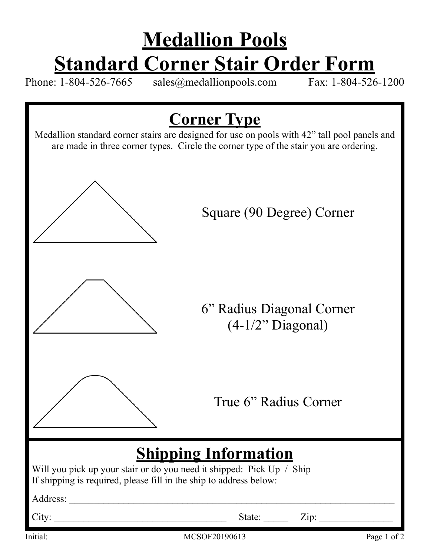## **Medallion Pools Standard Corner Stair Order Form**<br>1-804-526-7665 sales@medallionpools.com Fax: 1-804-526-1200

Phone:  $1-804-526-7665$  sales@medallionpools.com